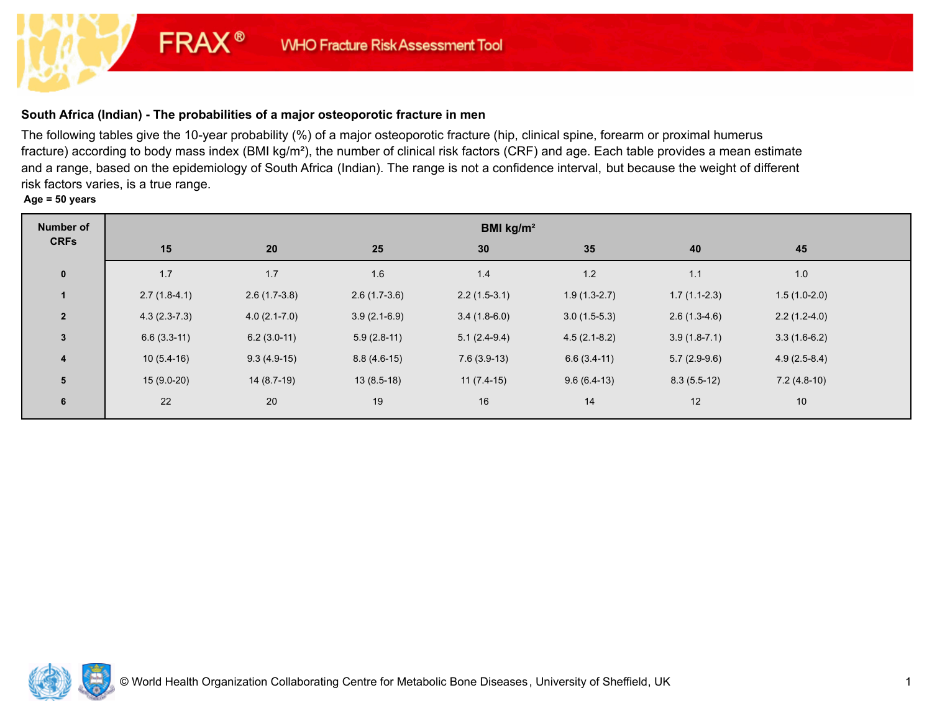# **South Africa (Indian) - The probabilities of a major osteoporotic fracture in men**

**FRAX®** 

The following tables give the 10-year probability (%) of a major osteoporotic fracture (hip, clinical spine, forearm or proximal humerus fracture) according to body mass index (BMI kg/m²), the number of clinical risk factors (CRF) and age. Each table provides a mean estimate and a range, based on the epidemiology of South Africa (Indian). The range is not a confidence interval, but because the weight of different risk factors varies, is a true range.

**Age = 50 years**

| Number of       | BMI kg/m <sup>2</sup> |                  |                |                |                |                |                |  |  |
|-----------------|-----------------------|------------------|----------------|----------------|----------------|----------------|----------------|--|--|
| <b>CRFs</b>     | 15                    | 20               | 25             | 30             | 35             | 40             | 45             |  |  |
| $\mathbf 0$     | 1.7                   | 1.7              | 1.6            | 1.4            | $1.2$          | 1.1            | 1.0            |  |  |
|                 | $2.7(1.8-4.1)$        | $2.6(1.7-3.8)$   | $2.6(1.7-3.6)$ | $2.2(1.5-3.1)$ | $1.9(1.3-2.7)$ | $1.7(1.1-2.3)$ | $1.5(1.0-2.0)$ |  |  |
| $\overline{2}$  | $4.3(2.3-7.3)$        | $4.0(2.1 - 7.0)$ | $3.9(2.1-6.9)$ | $3.4(1.8-6.0)$ | $3.0(1.5-5.3)$ | $2.6(1.3-4.6)$ | $2.2(1.2-4.0)$ |  |  |
| $\mathbf{3}$    | $6.6(3.3-11)$         | $6.2(3.0-11)$    | $5.9(2.8-11)$  | $5.1(2.4-9.4)$ | $4.5(2.1-8.2)$ | $3.9(1.8-7.1)$ | $3.3(1.6-6.2)$ |  |  |
| $\overline{4}$  | $10(5.4-16)$          | $9.3(4.9-15)$    | $8.8(4.6-15)$  | $7.6(3.9-13)$  | $6.6(3.4-11)$  | $5.7(2.9-9.6)$ | $4.9(2.5-8.4)$ |  |  |
| $5\overline{5}$ | $15(9.0-20)$          | $14(8.7-19)$     | $13(8.5-18)$   | $11(7.4-15)$   | $9.6(6.4-13)$  | $8.3(5.5-12)$  | $7.2(4.8-10)$  |  |  |
| $6\phantom{1}$  | 22                    | 20               | 19             | 16             | 14             | 12             | 10             |  |  |

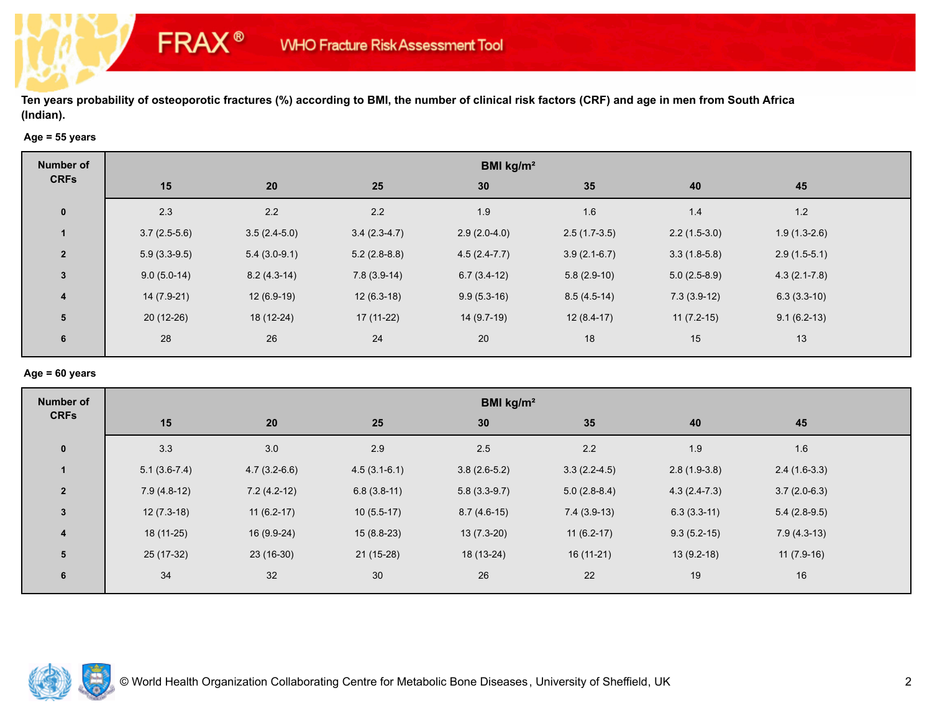## **Age = 55 years**

**FRAX®** 

| Number of               | BMI kg/m <sup>2</sup> |                |                |                  |                |                |                  |  |  |
|-------------------------|-----------------------|----------------|----------------|------------------|----------------|----------------|------------------|--|--|
| <b>CRFs</b>             | 15                    | 20             | 25             | 30               | 35             | 40             | 45               |  |  |
| $\mathbf 0$             | 2.3                   | 2.2            | 2.2            | 1.9              | 1.6            | 1.4            | 1.2              |  |  |
|                         | $3.7(2.5-5.6)$        | $3.5(2.4-5.0)$ | $3.4(2.3-4.7)$ | $2.9(2.0-4.0)$   | $2.5(1.7-3.5)$ | $2.2(1.5-3.0)$ | $1.9(1.3-2.6)$   |  |  |
| $\overline{2}$          | $5.9(3.3-9.5)$        | $5.4(3.0-9.1)$ | $5.2(2.8-8.8)$ | $4.5(2.4 - 7.7)$ | $3.9(2.1-6.7)$ | $3.3(1.8-5.8)$ | $2.9(1.5-5.1)$   |  |  |
| $\overline{3}$          | $9.0(5.0-14)$         | $8.2(4.3-14)$  | $7.8(3.9-14)$  | $6.7(3.4-12)$    | $5.8(2.9-10)$  | $5.0(2.5-8.9)$ | $4.3(2.1 - 7.8)$ |  |  |
| $\overline{\mathbf{4}}$ | $14(7.9-21)$          | $12(6.9-19)$   | $12(6.3-18)$   | $9.9(5.3-16)$    | $8.5(4.5-14)$  | $7.3(3.9-12)$  | $6.3(3.3-10)$    |  |  |
| 5                       | $20(12-26)$           | 18 (12-24)     | $17(11-22)$    | 14 (9.7-19)      | $12(8.4-17)$   | $11(7.2-15)$   | $9.1(6.2-13)$    |  |  |
| 6                       | 28                    | 26             | 24             | 20               | 18             | 15             | 13               |  |  |

#### **Age = 60 years**

| <b>Number of</b> | BMI kg/m <sup>2</sup> |                |                |                |                |                |                |  |  |
|------------------|-----------------------|----------------|----------------|----------------|----------------|----------------|----------------|--|--|
| <b>CRFs</b>      | 15                    | 20             | 25             | 30             | 35             | 40             | 45             |  |  |
| $\mathbf 0$      | 3.3                   | $3.0\,$        | 2.9            | 2.5            | $2.2\,$        | 1.9            | 1.6            |  |  |
| $\mathbf{1}$     | $5.1(3.6-7.4)$        | $4.7(3.2-6.6)$ | $4.5(3.1-6.1)$ | $3.8(2.6-5.2)$ | $3.3(2.2-4.5)$ | $2.8(1.9-3.8)$ | $2.4(1.6-3.3)$ |  |  |
| $\overline{2}$   | $7.9(4.8-12)$         | $7.2(4.2-12)$  | $6.8(3.8-11)$  | $5.8(3.3-9.7)$ | $5.0(2.8-8.4)$ | $4.3(2.4-7.3)$ | $3.7(2.0-6.3)$ |  |  |
| $\mathbf{3}$     | $12(7.3-18)$          | $11(6.2-17)$   | $10(5.5-17)$   | $8.7(4.6-15)$  | $7.4(3.9-13)$  | $6.3(3.3-11)$  | $5.4(2.8-9.5)$ |  |  |
| $\boldsymbol{4}$ | $18(11-25)$           | 16 (9.9-24)    | $15(8.8-23)$   | $13(7.3-20)$   | $11(6.2-17)$   | $9.3(5.2-15)$  | $7.9(4.3-13)$  |  |  |
| 5                | 25 (17-32)            | $23(16-30)$    | $21(15-28)$    | 18 (13-24)     | $16(11-21)$    | $13(9.2-18)$   | $11(7.9-16)$   |  |  |
| 6                | 34                    | 32             | 30             | 26             | 22             | 19             | 16             |  |  |

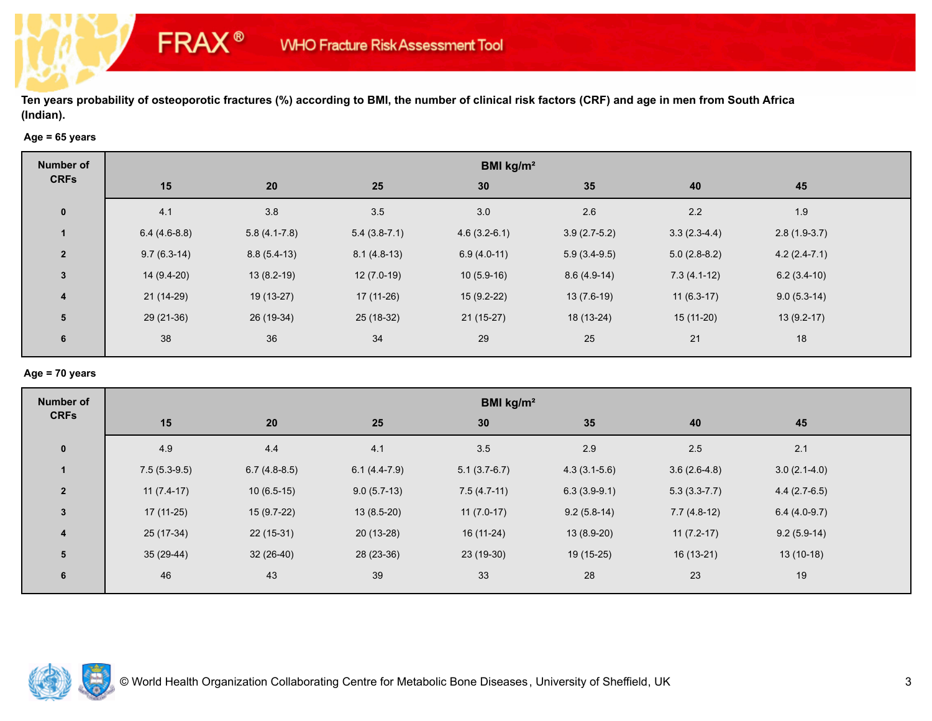## **Age = 65 years**

**FRAX®** 

| <b>Number of</b>        | BMI kg/m <sup>2</sup> |                |                |                 |                |                |                |  |  |
|-------------------------|-----------------------|----------------|----------------|-----------------|----------------|----------------|----------------|--|--|
| <b>CRFs</b>             | 15                    | 20             | 25             | 30 <sub>2</sub> | 35             | 40             | 45             |  |  |
| $\mathbf 0$             | 4.1                   | 3.8            | 3.5            | 3.0             | 2.6            | 2.2            | 1.9            |  |  |
|                         | $6.4(4.6-8.8)$        | $5.8(4.1-7.8)$ | $5.4(3.8-7.1)$ | $4.6(3.2-6.1)$  | $3.9(2.7-5.2)$ | $3.3(2.3-4.4)$ | $2.8(1.9-3.7)$ |  |  |
| $\overline{2}$          | $9.7(6.3-14)$         | $8.8(5.4-13)$  | $8.1(4.8-13)$  | $6.9(4.0-11)$   | $5.9(3.4-9.5)$ | $5.0(2.8-8.2)$ | $4.2(2.4-7.1)$ |  |  |
| $\mathbf{3}$            | $14(9.4-20)$          | $13(8.2-19)$   | $12(7.0-19)$   | $10(5.9-16)$    | $8.6(4.9-14)$  | $7.3(4.1-12)$  | $6.2(3.4-10)$  |  |  |
| $\overline{\mathbf{4}}$ | $21(14-29)$           | $19(13-27)$    | $17(11-26)$    | $15(9.2-22)$    | $13(7.6-19)$   | $11(6.3-17)$   | $9.0(5.3-14)$  |  |  |
| 5                       | 29 (21-36)            | 26 (19-34)     | 25 (18-32)     | $21(15-27)$     | 18 (13-24)     | $15(11-20)$    | $13(9.2-17)$   |  |  |
| 6                       | 38                    | 36             | 34             | 29              | 25             | 21             | 18             |  |  |

## **Age = 70 years**

| <b>Number of</b> | BMI kg/m <sup>2</sup> |                |                |                |                |                |                |  |  |
|------------------|-----------------------|----------------|----------------|----------------|----------------|----------------|----------------|--|--|
| <b>CRFs</b>      | 15                    | 20             | 25             | 30             | 35             | 40             | 45             |  |  |
| $\mathbf 0$      | 4.9                   | 4.4            | 4.1            | 3.5            | 2.9            | 2.5            | 2.1            |  |  |
| 1                | $7.5(5.3-9.5)$        | $6.7(4.8-8.5)$ | $6.1(4.4-7.9)$ | $5.1(3.7-6.7)$ | $4.3(3.1-5.6)$ | $3.6(2.6-4.8)$ | $3.0(2.1-4.0)$ |  |  |
| $\overline{2}$   | $11(7.4-17)$          | $10(6.5-15)$   | $9.0(5.7-13)$  | $7.5(4.7-11)$  | $6.3(3.9-9.1)$ | $5.3(3.3-7.7)$ | $4.4(2.7-6.5)$ |  |  |
| $\mathbf{3}$     | $17(11-25)$           | $15(9.7-22)$   | $13(8.5-20)$   | $11(7.0-17)$   | $9.2(5.8-14)$  | $7.7(4.8-12)$  | $6.4(4.0-9.7)$ |  |  |
| 4                | $25(17-34)$           | $22(15-31)$    | $20(13-28)$    | 16 (11-24)     | $13(8.9-20)$   | $11(7.2-17)$   | $9.2(5.9-14)$  |  |  |
| $5\phantom{1}$   | 35 (29-44)            | $32(26-40)$    | 28 (23-36)     | 23 (19-30)     | 19 (15-25)     | $16(13-21)$    | $13(10-18)$    |  |  |
| 6                | 46                    | 43             | 39             | 33             | 28             | 23             | 19             |  |  |

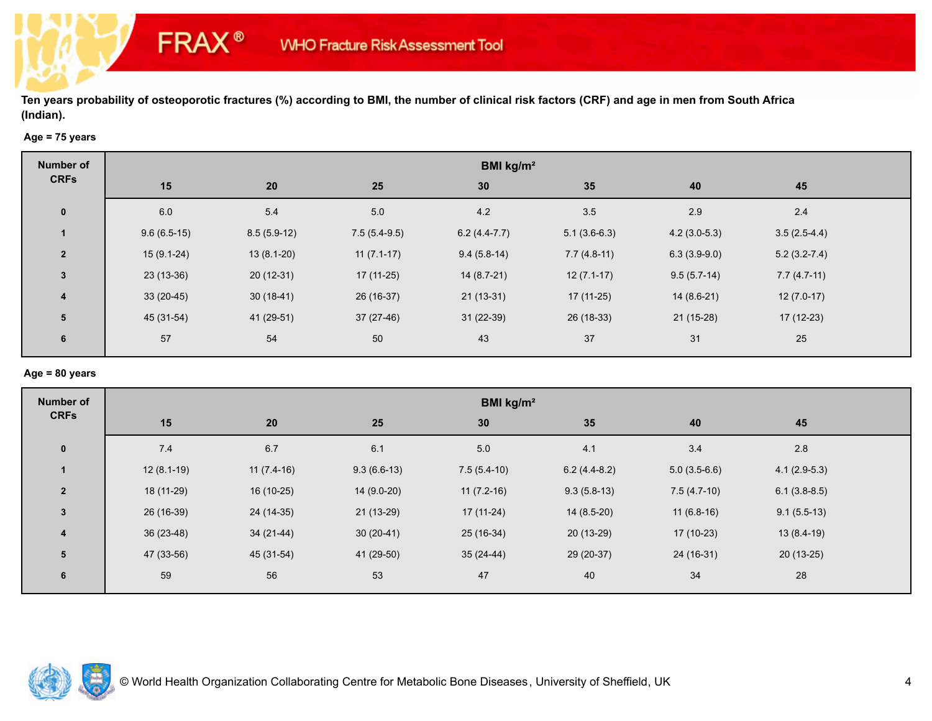## **Age = 75 years**

**FRAX®** 

| <b>Number of</b>        | BMI kg/m <sup>2</sup> |               |                |                |                |                |                  |  |  |
|-------------------------|-----------------------|---------------|----------------|----------------|----------------|----------------|------------------|--|--|
| <b>CRFs</b>             | 15                    | 20            | 25             | 30             | 35             | 40             | 45               |  |  |
| $\mathbf 0$             | 6.0                   | 5.4           | 5.0            | 4.2            | 3.5            | 2.9            | 2.4              |  |  |
|                         | $9.6(6.5-15)$         | $8.5(5.9-12)$ | $7.5(5.4-9.5)$ | $6.2(4.4-7.7)$ | $5.1(3.6-6.3)$ | $4.2(3.0-5.3)$ | $3.5(2.5-4.4)$   |  |  |
| $\overline{2}$          | $15(9.1-24)$          | $13(8.1-20)$  | $11(7.1-17)$   | $9.4(5.8-14)$  | $7.7(4.8-11)$  | $6.3(3.9-9.0)$ | $5.2(3.2 - 7.4)$ |  |  |
| $\mathbf{3}$            | $23(13-36)$           | $20(12-31)$   | $17(11-25)$    | $14(8.7-21)$   | $12(7.1-17)$   | $9.5(5.7-14)$  | $7.7(4.7-11)$    |  |  |
| $\overline{\mathbf{4}}$ | $33(20-45)$           | $30(18-41)$   | 26 (16-37)     | $21(13-31)$    | $17(11-25)$    | $14(8.6-21)$   | $12(7.0-17)$     |  |  |
| 5                       | 45 (31-54)            | 41 (29-51)    | $37(27-46)$    | $31(22-39)$    | 26 (18-33)     | $21(15-28)$    | $17(12-23)$      |  |  |
| 6                       | 57                    | 54            | 50             | 43             | 37             | 31             | 25               |  |  |

#### **Age = 80 years**

| <b>Number of</b> | BMI kg/m <sup>2</sup> |              |               |               |                |                |                |  |  |
|------------------|-----------------------|--------------|---------------|---------------|----------------|----------------|----------------|--|--|
| <b>CRFs</b>      | 15                    | 20           | 25            | 30            | 35             | 40             | 45             |  |  |
| $\mathbf 0$      | 7.4                   | 6.7          | 6.1           | 5.0           | 4.1            | 3.4            | $2.8$          |  |  |
| $\mathbf{1}$     | $12(8.1-19)$          | $11(7.4-16)$ | $9.3(6.6-13)$ | $7.5(5.4-10)$ | $6.2(4.4-8.2)$ | $5.0(3.5-6.6)$ | $4.1(2.9-5.3)$ |  |  |
| $\overline{2}$   | 18 (11-29)            | 16 (10-25)   | $14(9.0-20)$  | $11(7.2-16)$  | $9.3(5.8-13)$  | $7.5(4.7-10)$  | $6.1(3.8-8.5)$ |  |  |
| $\mathbf{3}$     | 26 (16-39)            | 24 (14-35)   | $21(13-29)$   | $17(11-24)$   | $14(8.5-20)$   | $11(6.8-16)$   | $9.1(5.5-13)$  |  |  |
| $\boldsymbol{4}$ | $36(23-48)$           | $34(21-44)$  | $30(20-41)$   | 25 (16-34)    | $20(13-29)$    | $17(10-23)$    | $13(8.4-19)$   |  |  |
| 5                | 47 (33-56)            | 45 (31-54)   | 41 (29-50)    | $35(24-44)$   | 29 (20-37)     | 24 (16-31)     | $20(13-25)$    |  |  |
| 6                | 59                    | 56           | 53            | 47            | 40             | 34             | 28             |  |  |